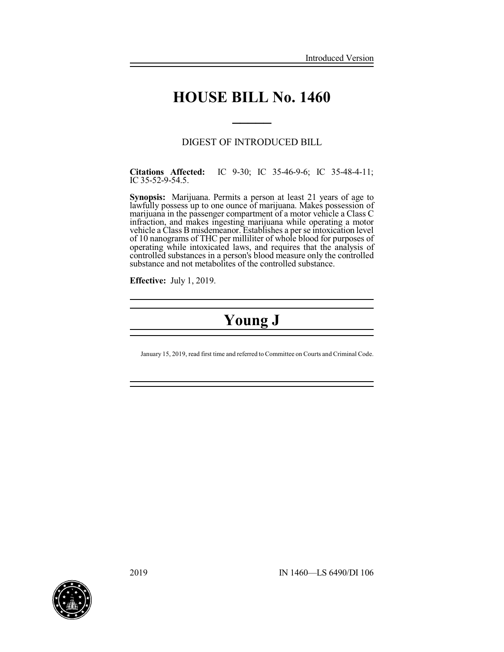# **HOUSE BILL No. 1460**

**\_\_\_\_\_**

### DIGEST OF INTRODUCED BILL

**Citations Affected:** IC 9-30; IC 35-46-9-6; IC 35-48-4-11; IC 35-52-9-54.5.

**Synopsis:** Marijuana. Permits a person at least 21 years of age to lawfully possess up to one ounce of marijuana. Makes possession of marijuana in the passenger compartment of a motor vehicle a Class C infraction, and makes ingesting marijuana while operating a motor vehicle a Class B misdemeanor. Establishes a per se intoxication level of 10 nanograms of THC per milliliter of whole blood for purposes of operating while intoxicated laws, and requires that the analysis of controlled substances in a person's blood measure only the controlled substance and not metabolites of the controlled substance.

**Effective:** July 1, 2019.

# **Young J**

January 15, 2019, read first time and referred to Committee on Courts and Criminal Code.

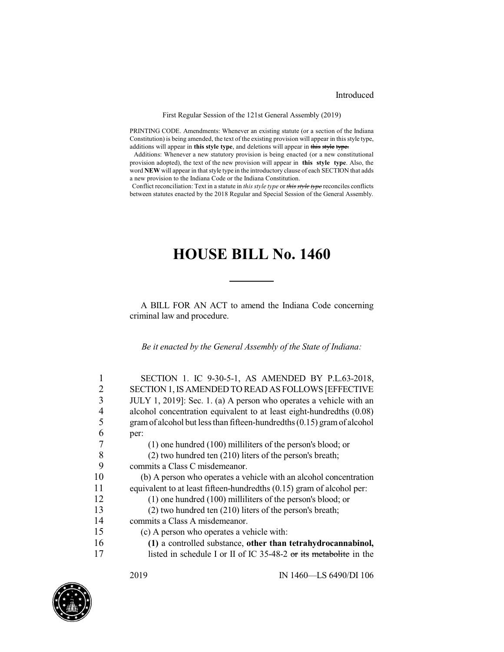#### Introduced

#### First Regular Session of the 121st General Assembly (2019)

PRINTING CODE. Amendments: Whenever an existing statute (or a section of the Indiana Constitution) is being amended, the text of the existing provision will appear in this style type, additions will appear in **this style type**, and deletions will appear in this style type.

Additions: Whenever a new statutory provision is being enacted (or a new constitutional provision adopted), the text of the new provision will appear in **this style type**. Also, the word **NEW** will appear in that style type in the introductory clause of each SECTION that adds a new provision to the Indiana Code or the Indiana Constitution.

Conflict reconciliation: Text in a statute in *this style type* or *this style type* reconciles conflicts between statutes enacted by the 2018 Regular and Special Session of the General Assembly.

## **HOUSE BILL No. 1460**

A BILL FOR AN ACT to amend the Indiana Code concerning criminal law and procedure.

*Be it enacted by the General Assembly of the State of Indiana:*

|    | SECTION 1. IC 9-30-5-1, AS AMENDED BY P.L.63-2018,                      |
|----|-------------------------------------------------------------------------|
| 2  | SECTION 1, IS AMENDED TO READ AS FOLLOWS [EFFECTIVE                     |
| 3  | JULY 1, 2019]: Sec. 1. (a) A person who operates a vehicle with an      |
| 4  | alcohol concentration equivalent to at least eight-hundredths (0.08)    |
| 5  | gram of alcohol but less than fifteen-hundredths (0.15) gram of alcohol |
| 6  | per:                                                                    |
|    | $(1)$ one hundred $(100)$ milliliters of the person's blood; or         |
| 8  | $(2)$ two hundred ten $(210)$ liters of the person's breath;            |
| 9  | commits a Class C misdemeanor.                                          |
| 10 | (b) A person who operates a vehicle with an alcohol concentration       |
| 11 | equivalent to at least fifteen-hundredths (0.15) gram of alcohol per:   |
| 12 | $(1)$ one hundred $(100)$ milliliters of the person's blood; or         |
| 13 | $(2)$ two hundred ten $(210)$ liters of the person's breath;            |
| 14 | commits a Class A misdemeanor.                                          |
| 15 | (c) A person who operates a vehicle with:                               |
| 16 | (1) a controlled substance, other than tetrahydrocannabinol,            |
| 17 | listed in schedule I or II of IC 35-48-2 or its metabolite in the       |
|    |                                                                         |

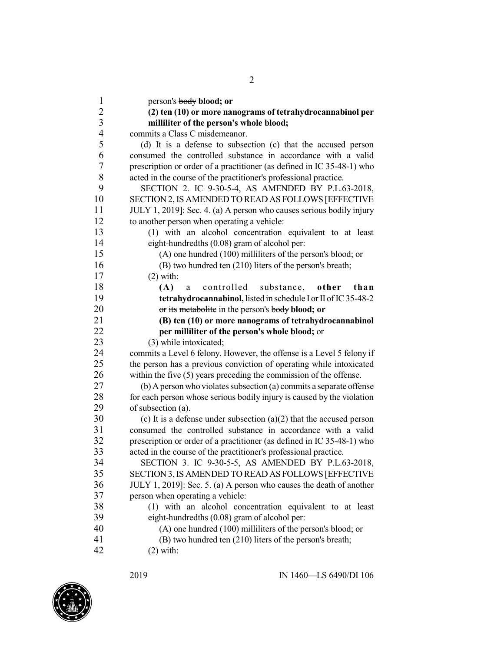person's body **blood; or (2) ten (10) or more nanograms of tetrahydrocannabinol per milliliter of the person's whole blood;** commits a Class C misdemeanor. (d) It is a defense to subsection (c) that the accused person consumed the controlled substance in accordance with a valid 7 prescription or order of a practitioner (as defined in IC 35-48-1) who acted in the course of the practitioner's professional practice. 8 acted in the course of the practitioner's professional practice.<br>9 SECTION 2 IC 9-30-5-4 AS AMENDED BY PL6 SECTION 2. IC 9-30-5-4, AS AMENDED BY P.L.63-2018, SECTION 2,IS AMENDED TO READ AS FOLLOWS [EFFECTIVE JULY 1, 2019]: Sec. 4. (a) A person who causes serious bodily injury to another person when operating a vehicle: (1) with an alcohol concentration equivalent to at least eight-hundredths (0.08) gram of alcohol per: (A) one hundred (100) milliliters of the person's blood; or (B) two hundred ten (210) liters of the person's breath; (2) with: **(A)** a controlled substance, **other than tetrahydrocannabinol**, listed in schedule I or II of IC 35-48-2 or its metabolite in the person's body **blood; or (B) ten (10) or more nanograms of tetrahydrocannabinol per milliliter of the person's whole blood;** or 23 (3) while intoxicated;<br>24 commits a Level 6 felony. commits a Level 6 felony. However, the offense is a Level 5 felony if the person has a previous conviction of operating while intoxicated within the five (5) years preceding the commission of the offense. (b) Aperson who violates subsection (a) commits a separate offense 28 for each person whose serious bodily injury is caused by the violation of subsection (a). (c) It is a defense under subsection (a)(2) that the accused person 31 consumed the controlled substance in accordance with a valid<br>32 rescription or order of a practitioner (as defined in IC 35-48-1) who prescription or order of a practitioner (as defined in IC 35-48-1) who acted in the course of the practitioner's professional practice. 34 SECTION 3. IC 9-30-5-5, AS AMENDED BY P.L.63-2018,<br>35 SECTION 3 IS AMENDED TO READ AS FOLLOWS JEFFECTIVE SECTION 3,IS AMENDED TO READ AS FOLLOWS [EFFECTIVE JULY 1, 2019]: Sec. 5. (a) A person who causes the death of another person when operating a vehicle: (1) with an alcohol concentration equivalent to at least eight-hundredths (0.08) gram of alcohol per: (A) one hundred (100) milliliters of the person's blood; or (B) two hundred ten (210) liters of the person's breath; (2) with:

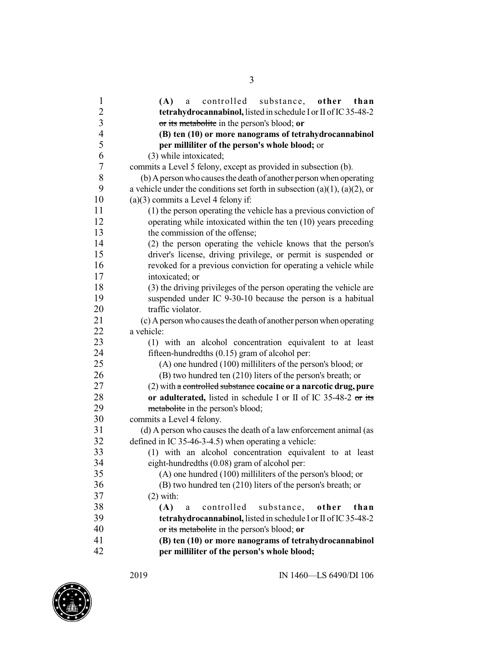| $\overline{\mathbf{c}}$<br>tetrahydrocannabinol, listed in schedule I or II of IC 35-48-2<br>$\overline{\mathbf{3}}$<br>or its metabolite in the person's blood; or<br>$\overline{\mathcal{A}}$<br>(B) ten (10) or more nanograms of tetrahydrocannabinol<br>5<br>per milliliter of the person's whole blood; or |  |
|------------------------------------------------------------------------------------------------------------------------------------------------------------------------------------------------------------------------------------------------------------------------------------------------------------------|--|
|                                                                                                                                                                                                                                                                                                                  |  |
|                                                                                                                                                                                                                                                                                                                  |  |
|                                                                                                                                                                                                                                                                                                                  |  |
|                                                                                                                                                                                                                                                                                                                  |  |
| 6<br>(3) while intoxicated;                                                                                                                                                                                                                                                                                      |  |
| $\boldsymbol{7}$<br>commits a Level 5 felony, except as provided in subsection (b).                                                                                                                                                                                                                              |  |
| $8\,$<br>(b) A person who causes the death of another person when operating                                                                                                                                                                                                                                      |  |
| 9<br>a vehicle under the conditions set forth in subsection (a)(1), (a)(2), or                                                                                                                                                                                                                                   |  |
| 10<br>$(a)(3)$ commits a Level 4 felony if:                                                                                                                                                                                                                                                                      |  |
| 11<br>(1) the person operating the vehicle has a previous conviction of                                                                                                                                                                                                                                          |  |
| 12<br>operating while intoxicated within the ten (10) years preceding                                                                                                                                                                                                                                            |  |
| 13<br>the commission of the offense;                                                                                                                                                                                                                                                                             |  |
| 14<br>(2) the person operating the vehicle knows that the person's                                                                                                                                                                                                                                               |  |
| 15<br>driver's license, driving privilege, or permit is suspended or                                                                                                                                                                                                                                             |  |
| 16<br>revoked for a previous conviction for operating a vehicle while                                                                                                                                                                                                                                            |  |
| 17<br>intoxicated; or                                                                                                                                                                                                                                                                                            |  |
| 18<br>(3) the driving privileges of the person operating the vehicle are                                                                                                                                                                                                                                         |  |
| 19<br>suspended under IC 9-30-10 because the person is a habitual                                                                                                                                                                                                                                                |  |
| 20<br>traffic violator.                                                                                                                                                                                                                                                                                          |  |
| 21<br>(c) A person who causes the death of another person when operating                                                                                                                                                                                                                                         |  |
| 22<br>a vehicle:                                                                                                                                                                                                                                                                                                 |  |
| 23<br>(1) with an alcohol concentration equivalent to at least                                                                                                                                                                                                                                                   |  |
| 24<br>fifteen-hundredths $(0.15)$ gram of alcohol per:                                                                                                                                                                                                                                                           |  |
| 25<br>(A) one hundred (100) milliliters of the person's blood; or                                                                                                                                                                                                                                                |  |
| 26<br>(B) two hundred ten (210) liters of the person's breath; or                                                                                                                                                                                                                                                |  |
| 27<br>(2) with a controlled substance cocaine or a narcotic drug, pure                                                                                                                                                                                                                                           |  |
| 28<br>or adulterated, listed in schedule I or II of IC 35-48-2 or its                                                                                                                                                                                                                                            |  |
| 29<br>metabolite in the person's blood;                                                                                                                                                                                                                                                                          |  |
| 30<br>commits a Level 4 felony.                                                                                                                                                                                                                                                                                  |  |
| 31<br>(d) A person who causes the death of a law enforcement animal (as                                                                                                                                                                                                                                          |  |
| 32<br>defined in IC 35-46-3-4.5) when operating a vehicle:                                                                                                                                                                                                                                                       |  |
| 33<br>(1) with an alcohol concentration equivalent to at least                                                                                                                                                                                                                                                   |  |
| 34<br>eight-hundredths (0.08) gram of alcohol per:                                                                                                                                                                                                                                                               |  |
| 35<br>(A) one hundred (100) milliliters of the person's blood; or                                                                                                                                                                                                                                                |  |
| 36<br>(B) two hundred ten (210) liters of the person's breath; or                                                                                                                                                                                                                                                |  |
| 37<br>$(2)$ with:                                                                                                                                                                                                                                                                                                |  |
| 38<br>(A)<br>controlled<br>substance,<br>other<br>than<br>a                                                                                                                                                                                                                                                      |  |
| 39<br>tetrahydrocannabinol, listed in schedule I or II of IC 35-48-2                                                                                                                                                                                                                                             |  |
| 40<br>or its metabolite in the person's blood; or                                                                                                                                                                                                                                                                |  |
| 41<br>(B) ten (10) or more nanograms of tetrahydrocannabinol                                                                                                                                                                                                                                                     |  |
| 42<br>per milliliter of the person's whole blood;                                                                                                                                                                                                                                                                |  |

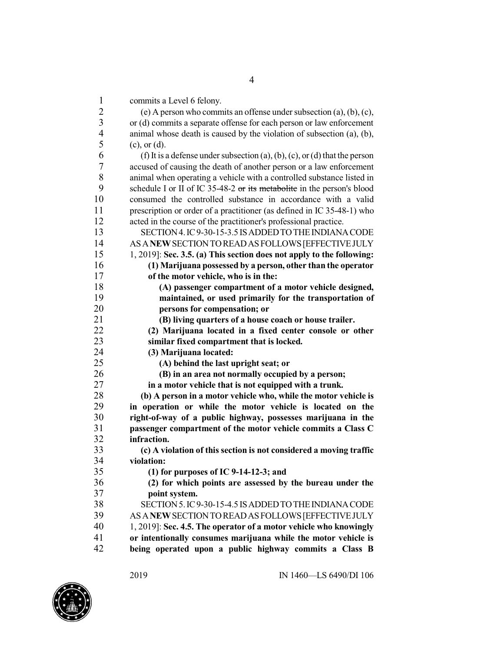commits a Level 6 felony.

| $\mathbf{I}$   | commus a Level o Telony.                                                     |
|----------------|------------------------------------------------------------------------------|
| $\frac{2}{3}$  | (e) A person who commits an offense under subsection $(a)$ , $(b)$ , $(c)$ , |
|                | or (d) commits a separate offense for each person or law enforcement         |
| $\overline{4}$ | animal whose death is caused by the violation of subsection (a), (b),        |
| 5              | $(c)$ , or $(d)$ .                                                           |
| 6              | (f) It is a defense under subsection (a), (b), (c), or (d) that the person   |
| 7              | accused of causing the death of another person or a law enforcement          |
| 8              | animal when operating a vehicle with a controlled substance listed in        |
| 9              | schedule I or II of IC 35-48-2 or its metabolite in the person's blood       |
| 10             | consumed the controlled substance in accordance with a valid                 |
| 11             | prescription or order of a practitioner (as defined in IC 35-48-1) who       |
| 12             | acted in the course of the practitioner's professional practice.             |
| 13             | SECTION 4. IC 9-30-15-3.5 IS ADDED TO THE INDIANA CODE                       |
| 14             | AS A NEW SECTION TO READ AS FOLLOWS [EFFECTIVE JULY                          |
| 15             | 1, 2019]: Sec. 3.5. (a) This section does not apply to the following:        |
| 16             | (1) Marijuana possessed by a person, other than the operator                 |
| 17             | of the motor vehicle, who is in the:                                         |
| 18             | (A) passenger compartment of a motor vehicle designed,                       |
| 19             | maintained, or used primarily for the transportation of                      |
| 20             | persons for compensation; or                                                 |
| 21             | (B) living quarters of a house coach or house trailer.                       |
| 22             | (2) Marijuana located in a fixed center console or other                     |
| 23             | similar fixed compartment that is locked.                                    |
| 24             | (3) Marijuana located:                                                       |
| 25             | (A) behind the last upright seat; or                                         |
| 26             | (B) in an area not normally occupied by a person;                            |
| 27             | in a motor vehicle that is not equipped with a trunk.                        |
| 28             | (b) A person in a motor vehicle who, while the motor vehicle is              |
| 29             | in operation or while the motor vehicle is located on the                    |
| 30             | right-of-way of a public highway, possesses marijuana in the                 |
| 31             | passenger compartment of the motor vehicle commits a Class C                 |
| 32             | infraction.                                                                  |
| 33             | (c) A violation of this section is not considered a moving traffic           |
| 34             | violation:                                                                   |
| 35             | (1) for purposes of IC 9-14-12-3; and                                        |
| 36             | (2) for which points are assessed by the bureau under the                    |
| 37             | point system.                                                                |
| 38             | SECTION 5. IC 9-30-15-4.5 IS ADDED TO THE INDIANA CODE                       |
| 39             | AS A NEW SECTION TO READ AS FOLLOWS [EFFECTIVE JULY                          |
| 40             | 1, 2019]: Sec. 4.5. The operator of a motor vehicle who knowingly            |
| 41             | or intentionally consumes marijuana while the motor vehicle is               |
| 42             | being operated upon a public highway commits a Class B                       |
|                |                                                                              |

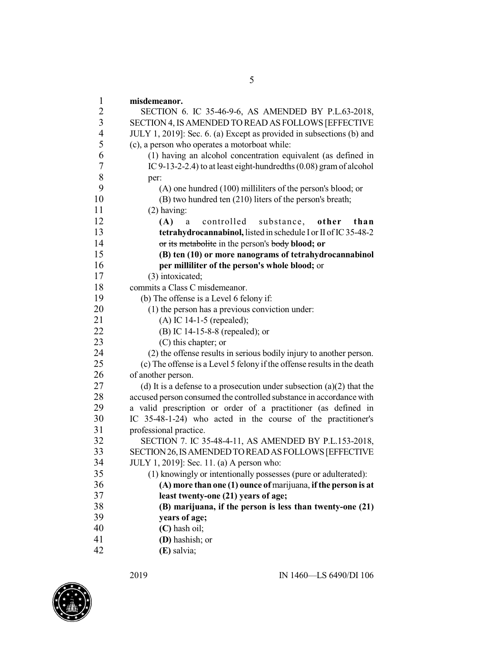**misdemeanor.** SECTION 6. IC 35-46-9-6, AS AMENDED BY P.L.63-2018, SECTION 4, ISAMENDED TO READ AS FOLLOWS [EFFECTIVE JULY 1, 2019]: Sec. 6. (a) Except as provided in subsections (b) and (c), a person who operates a motorboat while: (1) having an alcohol concentration equivalent (as defined in 7 IC 9-13-2-2.4) to at least eight-hundredths (0.08) gram of alcohol per:  $\begin{array}{ccc} 8 & \text{per:} \\ 9 & \text{O} \end{array}$  $($ A $)$  one hundred  $(100)$  milliliters of the person's blood; or (B) two hundred ten (210) liters of the person's breath; (2) having: **(A)** a controlled substance, **other than tetrahydrocannabinol,** listed in schedule I or II of IC 35-48-2 or its metabolite in the person's body **blood; or (B) ten (10) or more nanograms of tetrahydrocannabinol per milliliter of the person's whole blood;** or (3) intoxicated; commits a Class C misdemeanor. (b) The offense is a Level 6 felony if: (1) the person has a previous conviction under: (A) IC 14-1-5 (repealed); (B) IC 14-15-8-8 (repealed); or 23 (C) this chapter; or<br>24 (2) the offense results i (2) the offense results in serious bodily injury to another person. (c) The offense is a Level 5 felony if the offense results in the death of another person. 27 (d) It is a defense to a prosecution under subsection (a)(2) that the accused person consumed the controlled substance in accordance with a valid prescription or order of a practitioner (as defined in IC 35-48-1-24) who acted in the course of the practitioner's 31 professional practice.<br>32 SECTION 7. IC 3 SECTION 7. IC 35-48-4-11, AS AMENDED BY P.L.153-2018, SECTION26,ISAMENDEDTOREADASFOLLOWS[EFFECTIVE JULY 1, 2019]: Sec. 11. (a) A person who: (1) knowingly or intentionally possesses (pure or adulterated): **(A) more than one (1) ounce of** marijuana, **ifthe person is at least twenty-one (21) years of age; (B) marijuana, if the person is less than twenty-one (21) years of age; (C)** hash oil; **(D)** hashish; or **(E)** salvia;